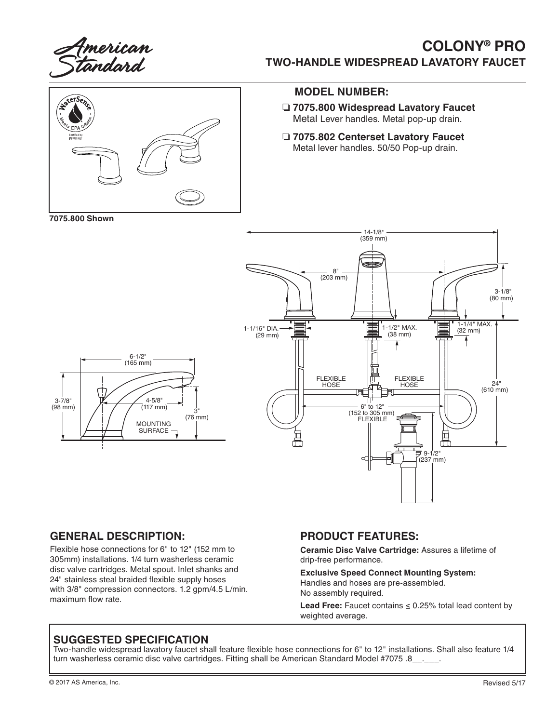

# **COLONY® PRO TWO-HANDLE WIDESPREAD LAVATORY FAUCET**



### **MODEL NUMBER:**

- ❏ **7075.800 Widespread Lavatory Faucet** Metal Lever handles. Metal pop-up drain.
- ❏ **7075.802 Centerset Lavatory Faucet** Metal lever handles. 50/50 Pop-up drain.

**7075.800 Shown**

3-7/8" (98 mm)



#### **GENERAL DESCRIPTION:**

Flexible hose connections for 6" to 12" (152 mm to 305mm) installations. 1/4 turn washerless ceramic disc valve cartridges. Metal spout. Inlet shanks and 24" stainless steal braided flexible supply hoses with 3/8" compression connectors. 1.2 gpm/4.5 L/min. maximum flow rate.

#### **PRODUCT FEATURES:**

**Ceramic Disc Valve Cartridge:** Assures a lifetime of drip-free performance.

**Exclusive Speed Connect Mounting System:** Handles and hoses are pre-assembled. No assembly required.

**Lead Free:** Faucet contains ≤ 0.25% total lead content by weighted average.

#### **SUGGESTED SPECIFICATION**

Two-handle widespread lavatory faucet shall feature flexible hose connections for 6" to 12" installations. Shall also feature 1/4 turn washerless ceramic disc valve cartridges. Fitting shall be American Standard Model #7075 .8\_\_\_\_\_\_.